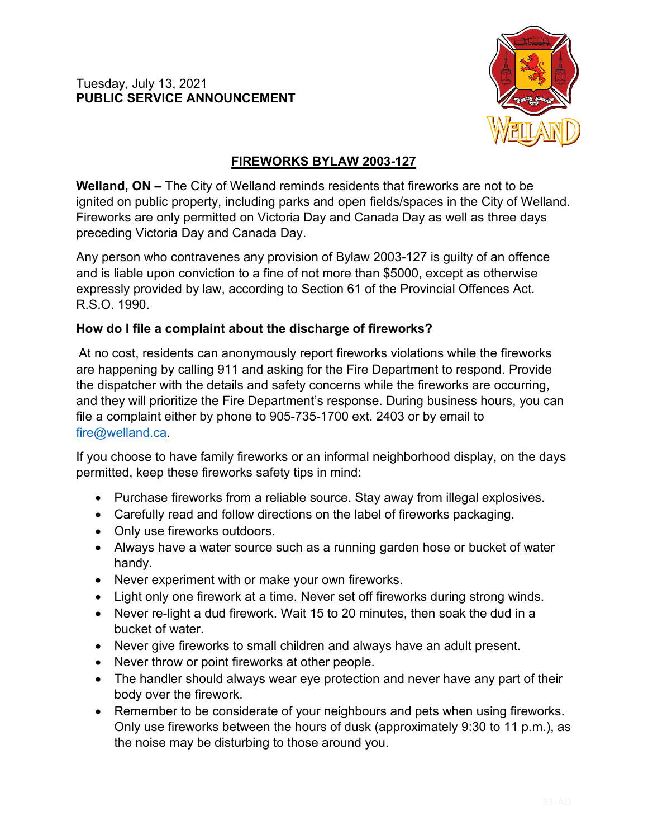

## **FIREWORKS BYLAW 2003-127**

**Welland, ON –** The City of Welland reminds residents that fireworks are not to be ignited on public property, including parks and open fields/spaces in the City of Welland. Fireworks are only permitted on Victoria Day and Canada Day as well as three days preceding Victoria Day and Canada Day.

Any person who contravenes any provision of Bylaw 2003-127 is guilty of an offence and is liable upon conviction to a fine of not more than \$5000, except as otherwise expressly provided by law, according to Section 61 of the Provincial Offences Act. R.S.O. 1990.

## **How do I file a complaint about the discharge of fireworks?**

At no cost, residents can anonymously report fireworks violations while the fireworks are happening by calling 911 and asking for the Fire Department to respond. Provide the dispatcher with the details and safety concerns while the fireworks are occurring, and they will prioritize the Fire Department's response. During business hours, you can file a complaint either by phone to 905-735-1700 ext. 2403 or by email to [fire@welland.ca.](mailto:fire@welland.ca)

If you choose to have family fireworks or an informal neighborhood display, on the days permitted, keep these fireworks safety tips in mind:

- Purchase fireworks from a reliable source. Stay away from illegal explosives.
- Carefully read and follow directions on the label of fireworks packaging.
- Only use fireworks outdoors.
- Always have a water source such as a running garden hose or bucket of water handy.
- Never experiment with or make your own fireworks.
- Light only one firework at a time. Never set off fireworks during strong winds.
- Never re-light a dud firework. Wait 15 to 20 minutes, then soak the dud in a bucket of water.
- Never give fireworks to small children and always have an adult present.
- Never throw or point fireworks at other people.
- The handler should always wear eye protection and never have any part of their body over the firework.
- Remember to be considerate of your neighbours and pets when using fireworks. Only use fireworks between the hours of dusk (approximately 9:30 to 11 p.m.), as the noise may be disturbing to those around you.